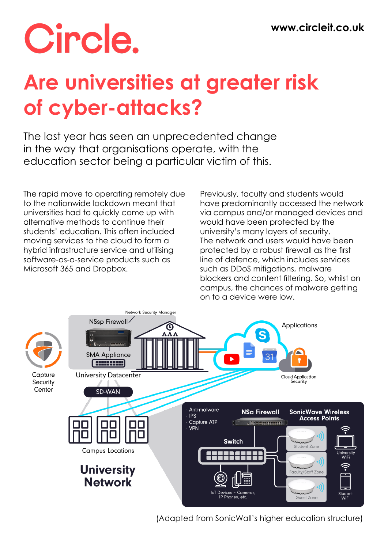# Circle.

## **Are universities at greater risk of cyber-attacks?**

The last year has seen an unprecedented change in the way that organisations operate, with the education sector being a particular victim of this.

The rapid move to operating remotely due to the nationwide lockdown meant that universities had to quickly come up with alternative methods to continue their students' education. This often included moving services to the cloud to form a hybrid infrastructure service and utilising software-as-a-service products such as Microsoft 365 and Dropbox.

Previously, faculty and students would have predominantly accessed the network via campus and/or managed devices and would have been protected by the university's many layers of security. The network and users would have been protected by a robust firewall as the first line of defence, which includes services such as DDoS mitigations, malware blockers and content filtering. So, whilst on campus, the chances of malware getting on to a device were low.



(Adapted from SonicWall's higher education structure)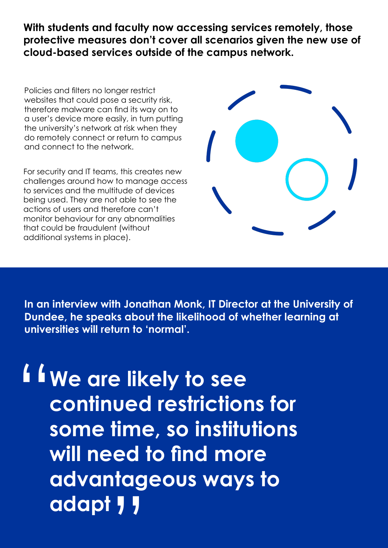**With students and faculty now accessing services remotely, those protective measures don't cover all scenarios given the new use of cloud-based services outside of the campus network.**

Policies and filters no longer restrict websites that could pose a security risk, therefore malware can find its way on to a user's device more easily, in turn putting the university's network at risk when they do remotely connect or return to campus and connect to the network.

For security and IT teams, this creates new challenges around how to manage access to services and the multitude of devices being used. They are not able to see the actions of users and therefore can't monitor behaviour for any abnormalities that could be fraudulent (without additional systems in place).



**In an interview with Jonathan Monk, IT Director at the University of Dundee, he speaks about the likelihood of whether learning at universities will return to 'normal'.**

**We are likely to see continued restrictions for some time, so institutions will need to find more advantageous ways to adapt** " tag<br>"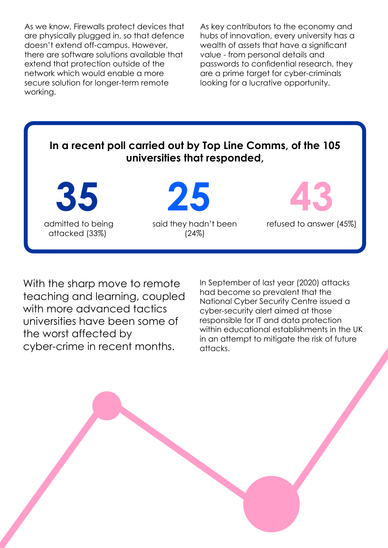As we know, Firewalls protect devices that are physically plugged in, so that defence doesn't extend off-campus. However, there are software solutions available that extend that protection outside of the network which would enable a more secure solution for longer-term remote working.

As key contributors to the economy and hubs of innovation, every university has a wealth of assets that have a significant value - from personal details and passwords to confidential research, they are a prime target for cyber-criminals looking for a lucrative opportunity.

#### **In a recent poll carried out by Top Line Comms, of the 105 universities that responded,**

 admitted to being attacked (33%)

**35 25 43** said they hadn't been (24%)



refused to answer (45%)

With the sharp move to remote teaching and learning, coupled with more advanced tactics universities have been some of the worst affected by cyber-crime in recent months.

In September of last year (2020) attacks had become so prevalent that the National Cyber Security Centre issued a cyber-security alert aimed at those responsible for IT and data protection within educational establishments in the UK in an attempt to mitigate the risk of future attacks.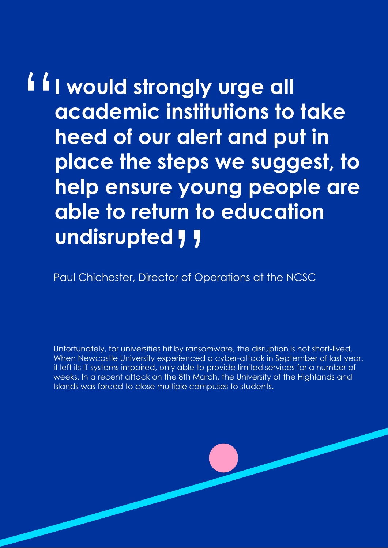#### " able to return to education<br>undisrupted **J** J **I would strongly urge all academic institutions to take heed of our alert and put in place the steps we suggest, to help ensure young people are undisrupted**  $\overline{y}$

Paul Chichester, Director of Operations at the NCSC

Unfortunately, for universities hit by ransomware, the disruption is not short-lived. When Newcastle University experienced a cyber-attack in September of last year, it left its IT systems impaired, only able to provide limited services for a number of weeks. In a recent attack on the 8th March, the University of the Highlands and Islands was forced to close multiple campuses to students.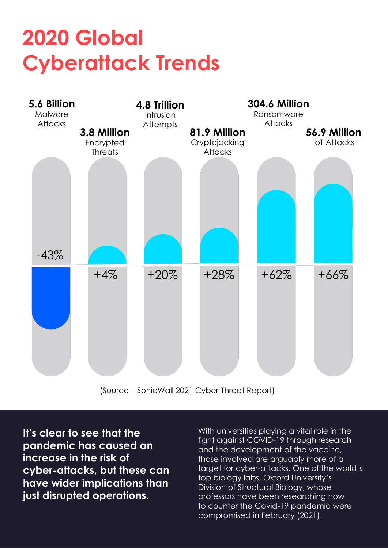## **2020 Global Cyberattack Trends**



(Source – SonicWall 2021 Cyber-Threat Report)

**It's clear to see that the pandemic has caused an increase in the risk of cyber-attacks, but these can have wider implications than just disrupted operations.**

With universities playing a vital role in the fight against COVID-19 through research and the development of the vaccine, those involved are arguably more of a target for cyber-attacks. One of the world's top biology labs, Oxford University's Division of Structural Biology, whose professors have been researching how to counter the Covid-19 pandemic were compromised in February (2021).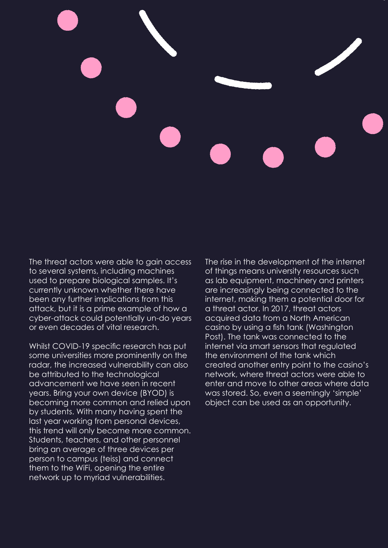

The threat actors were able to gain access to several systems, including machines used to prepare biological samples. It's currently unknown whether there have been any further implications from this attack, but it is a prime example of how a cyber-attack could potentially un-do years or even decades of vital research.

Whilst COVID-19 specific research has put some universities more prominently on the radar, the increased vulnerability can also be attributed to the technological advancement we have seen in recent years. Bring your own device (BYOD) is becoming more common and relied upon by students. With many having spent the last year working from personal devices, this trend will only become more common. Students, teachers, and other personnel bring an average of three devices per person to campus (teiss) and connect them to the WiFi, opening the entire network up to myriad vulnerabilities.

The rise in the development of the internet of things means university resources such as lab equipment, machinery and printers are increasingly being connected to the internet, making them a potential door for a threat actor. In 2017, threat actors acquired data from a North American casino by using a fish tank (Washington Post). The tank was connected to the internet via smart sensors that regulated the environment of the tank which created another entry point to the casino's network, where threat actors were able to enter and move to other areas where data was stored. So, even a seemingly 'simple' object can be used as an opportunity.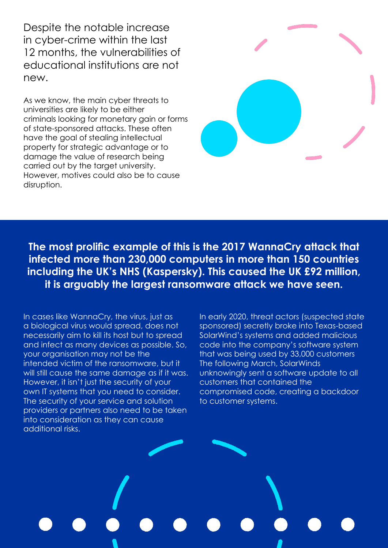Despite the notable increase in cyber-crime within the last 12 months, the vulnerabilities of educational institutions are not new.

As we know, the main cyber threats to universities are likely to be either criminals looking for monetary gain or forms of state-sponsored attacks. These often have the goal of stealing intellectual property for strategic advantage or to damage the value of research being carried out by the target university. However, motives could also be to cause disruption.



**The most prolific example of this is the 2017 WannaCry attack that infected more than 230,000 computers in more than 150 countries including the UK's NHS (Kaspersky). This caused the UK £92 million, it is arguably the largest ransomware attack we have seen.**

In cases like WannaCry, the virus, just as a biological virus would spread, does not necessarily aim to kill its host but to spread and infect as many devices as possible. So, your organisation may not be the intended victim of the ransomware, but it will still cause the same damage as if it was. However, it isn't just the security of your own IT systems that you need to consider. The security of your service and solution providers or partners also need to be taken into consideration as they can cause additional risks.

In early 2020, threat actors (suspected state sponsored) secretly broke into Texas-based SolarWind's systems and added malicious code into the company's software system that was being used by 33,000 customers The following March, SolarWinds unknowingly sent a software update to all customers that contained the compromised code, creating a backdoor to customer systems.